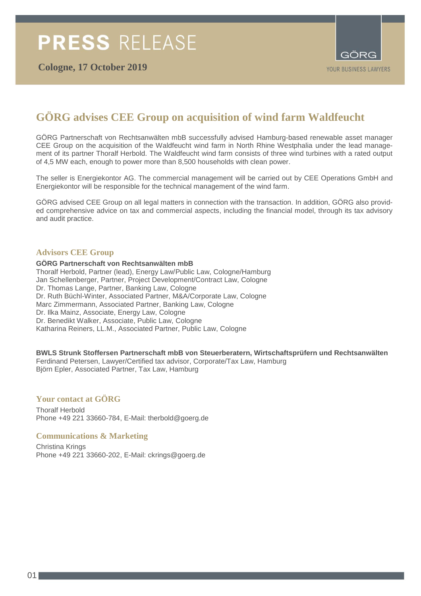

## **GÖRG advises CEE Group on acquisition of wind farm Waldfeucht**

GÖRG Partnerschaft von Rechtsanwälten mbB successfully advised Hamburg-based renewable asset manager CEE Group on the acquisition of the Waldfeucht wind farm in North Rhine Westphalia under the lead management of its partner Thoralf Herbold. The Waldfeucht wind farm consists of three wind turbines with a rated output of 4,5 MW each, enough to power more than 8,500 households with clean power.

The seller is Energiekontor AG. The commercial management will be carried out by CEE Operations GmbH and Energiekontor will be responsible for the technical management of the wind farm.

GÖRG advised CEE Group on all legal matters in connection with the transaction. In addition, GÖRG also provided comprehensive advice on tax and commercial aspects, including the financial model, through its tax advisory and audit practice.

## **Advisors CEE Group**

**GÖRG Partnerschaft von Rechtsanwälten mbB** Thoralf Herbold, Partner (lead), Energy Law/Public Law, Cologne/Hamburg Jan Schellenberger, Partner, Project Development/Contract Law, Cologne Dr. Thomas Lange, Partner, Banking Law, Cologne Dr. Ruth Büchl-Winter, Associated Partner, M&A/Corporate Law, Cologne Marc Zimmermann, Associated Partner, Banking Law, Cologne Dr. Ilka Mainz, Associate, Energy Law, Cologne Dr. Benedikt Walker, Associate, Public Law, Cologne Katharina Reiners, LL.M., Associated Partner, Public Law, Cologne

## **BWLS Strunk Stoffersen Partnerschaft mbB von Steuerberatern, Wirtschaftsprüfern und Rechtsanwälten**

Ferdinand Petersen, Lawyer/Certified tax advisor, Corporate/Tax Law, Hamburg Björn Epler, Associated Partner, Tax Law, Hamburg

## **Your contact at GÖRG**

Thoralf Herbold Phone +49 221 33660-784, E-Mail: therbold@goerg.de

## **Communications & Marketing**

Christina Krings Phone +49 221 33660-202, E-Mail: ckrings@goerg.de